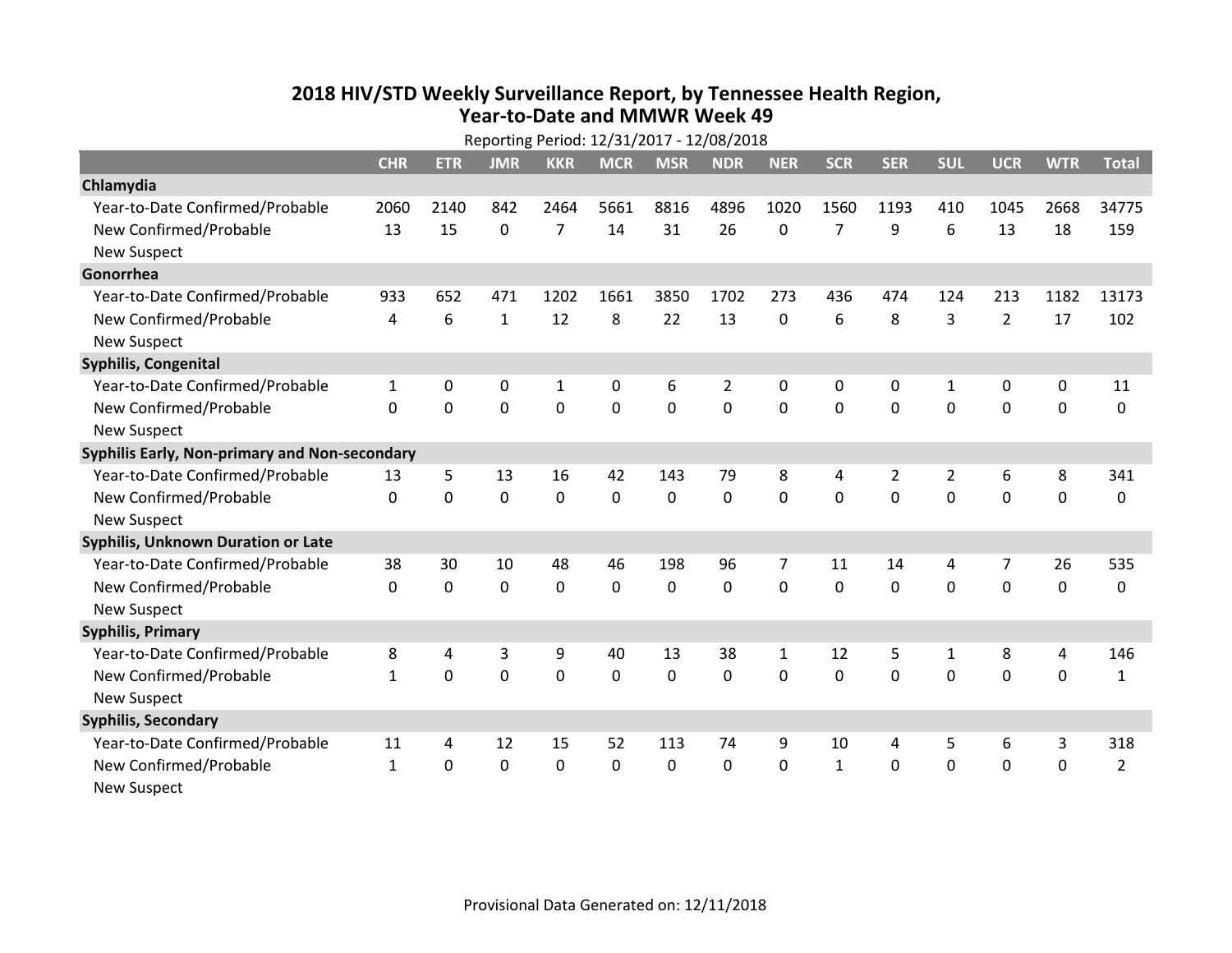## **2018 HIV /STD Weekly Surveillance Report, by Tennessee Health Region, Year‐to‐Date and MMWR Week 49**

|                                               | Reporting Period: 12/31/2017 - 12/08/2018 |             |              |              |              |             |                |              |              |                |                |                  |             |                |
|-----------------------------------------------|-------------------------------------------|-------------|--------------|--------------|--------------|-------------|----------------|--------------|--------------|----------------|----------------|------------------|-------------|----------------|
|                                               | <b>CHR</b>                                | <b>ETR</b>  | <b>JMR</b>   | <b>KKR</b>   | <b>MCR</b>   | <b>MSR</b>  | <b>NDR</b>     | <b>NER</b>   | <b>SCR</b>   | <b>SER</b>     | <b>SUL</b>     | <b>UCR</b>       | <b>WTR</b>  | <b>Total</b>   |
| Chlamydia                                     |                                           |             |              |              |              |             |                |              |              |                |                |                  |             |                |
| Year-to-Date Confirmed/Probable               | 2060                                      | 2140        | 842          | 2464         | 5661         | 8816        | 4896           | 1020         | 1560         | 1193           | 410            | 1045             | 2668        | 34775          |
| New Confirmed/Probable                        | 13                                        | 15          | $\Omega$     | 7            | 14           | 31          | 26             | 0            | 7            | 9              | 6              | 13               | 18          | 159            |
| <b>New Suspect</b>                            |                                           |             |              |              |              |             |                |              |              |                |                |                  |             |                |
| Gonorrhea                                     |                                           |             |              |              |              |             |                |              |              |                |                |                  |             |                |
| Year-to-Date Confirmed/Probable               | 933                                       | 652         | 471          | 1202         | 1661         | 3850        | 1702           | 273          | 436          | 474            | 124            | 213              | 1182        | 13173          |
| New Confirmed/Probable                        | 4                                         | 6           | $\mathbf{1}$ | 12           | 8            | 22          | 13             | $\Omega$     | 6            | 8              | 3              | $\overline{2}$   | 17          | 102            |
| <b>New Suspect</b>                            |                                           |             |              |              |              |             |                |              |              |                |                |                  |             |                |
| <b>Syphilis, Congenital</b>                   |                                           |             |              |              |              |             |                |              |              |                |                |                  |             |                |
| Year-to-Date Confirmed/Probable               | $\mathbf{1}$                              | 0           | $\mathbf 0$  | $\mathbf{1}$ | 0            | 6           | $\overline{2}$ | 0            | 0            | 0              | $\mathbf{1}$   | $\boldsymbol{0}$ | 0           | 11             |
| New Confirmed/Probable                        | $\Omega$                                  | $\mathbf 0$ | $\mathbf 0$  | 0            | 0            | 0           | 0              | 0            | $\mathbf{0}$ | 0              | 0              | $\mathbf 0$      | 0           | 0              |
| <b>New Suspect</b>                            |                                           |             |              |              |              |             |                |              |              |                |                |                  |             |                |
| Syphilis Early, Non-primary and Non-secondary |                                           |             |              |              |              |             |                |              |              |                |                |                  |             |                |
| Year-to-Date Confirmed/Probable               | 13                                        | 5           | 13           | 16           | 42           | 143         | 79             | 8            | 4            | $\overline{2}$ | $\overline{2}$ | 6                | 8           | 341            |
| New Confirmed/Probable                        | $\mathbf 0$                               | $\mathbf 0$ | $\mathbf 0$  | $\mathbf 0$  | 0            | $\mathbf 0$ | 0              | 0            | 0            | $\mathbf 0$    | $\mathbf 0$    | $\mathbf 0$      | $\mathbf 0$ | $\mathbf 0$    |
| <b>New Suspect</b>                            |                                           |             |              |              |              |             |                |              |              |                |                |                  |             |                |
| Syphilis, Unknown Duration or Late            |                                           |             |              |              |              |             |                |              |              |                |                |                  |             |                |
| Year-to-Date Confirmed/Probable               | 38                                        | 30          | 10           | 48           | 46           | 198         | 96             | 7            | 11           | 14             | 4              | $\overline{7}$   | 26          | 535            |
| New Confirmed/Probable                        | $\Omega$                                  | $\mathbf 0$ | $\mathbf 0$  | 0            | 0            | 0           | 0              | $\Omega$     | $\Omega$     | 0              | 0              | $\mathbf 0$      | 0           | 0              |
| <b>New Suspect</b>                            |                                           |             |              |              |              |             |                |              |              |                |                |                  |             |                |
| <b>Syphilis, Primary</b>                      |                                           |             |              |              |              |             |                |              |              |                |                |                  |             |                |
| Year-to-Date Confirmed/Probable               | 8                                         | 4           | 3            | 9            | 40           | 13          | 38             | $\mathbf{1}$ | 12           | 5              | 1              | 8                | 4           | 146            |
| New Confirmed/Probable                        | $\mathbf{1}$                              | $\mathbf 0$ | 0            | 0            | $\mathbf{0}$ | 0           | 0              | $\Omega$     | $\mathbf{0}$ | 0              | 0              | $\mathbf 0$      | 0           | $\mathbf{1}$   |
| <b>New Suspect</b>                            |                                           |             |              |              |              |             |                |              |              |                |                |                  |             |                |
| <b>Syphilis, Secondary</b>                    |                                           |             |              |              |              |             |                |              |              |                |                |                  |             |                |
| Year-to-Date Confirmed/Probable               | 11                                        | 4           | 12           | 15           | 52           | 113         | 74             | 9            | 10           | 4              | 5              | 6                | 3           | 318            |
| New Confirmed/Probable                        | $\mathbf{1}$                              | $\mathbf 0$ | $\mathbf 0$  | 0            | 0            | 0           | 0              | $\Omega$     | $\mathbf{1}$ | 0              | 0              | $\mathbf 0$      | 0           | $\overline{2}$ |
| <b>New Suspect</b>                            |                                           |             |              |              |              |             |                |              |              |                |                |                  |             |                |